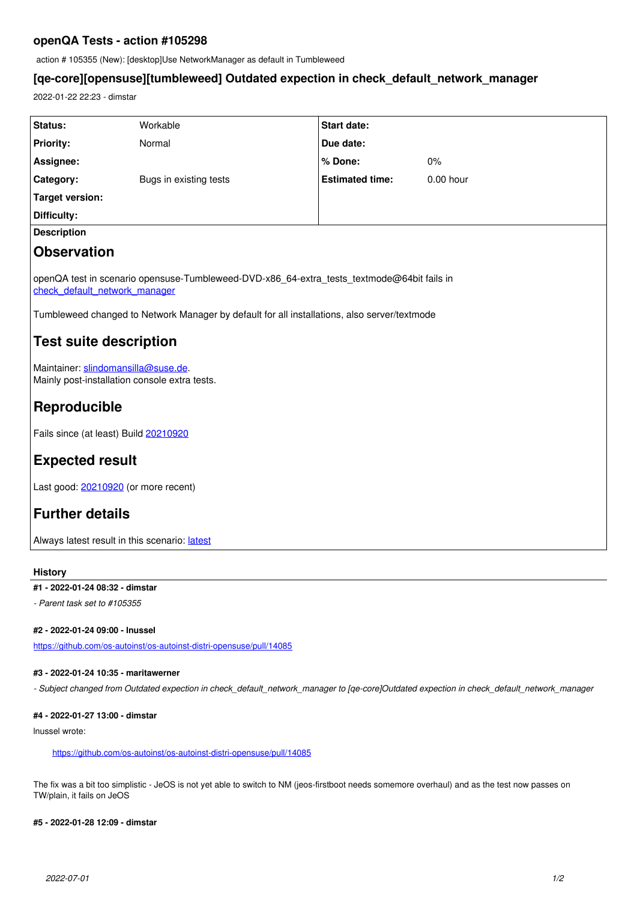# **openQA Tests - action #105298**

action # 105355 (New): [desktop]Use NetworkManager as default in Tumbleweed

## **[qe-core][opensuse][tumbleweed] Outdated expection in check\_default\_network\_manager**

2022-01-22 22:23 - dimstar

| <b>Status:</b>                                                                                                                                                                                                                                        | Workable               | <b>Start date:</b>     |           |
|-------------------------------------------------------------------------------------------------------------------------------------------------------------------------------------------------------------------------------------------------------|------------------------|------------------------|-----------|
| <b>Priority:</b>                                                                                                                                                                                                                                      | Normal                 | Due date:              |           |
| Assignee:                                                                                                                                                                                                                                             |                        | % Done:                | 0%        |
| Category:                                                                                                                                                                                                                                             | Bugs in existing tests | <b>Estimated time:</b> | 0.00 hour |
| <b>Target version:</b>                                                                                                                                                                                                                                |                        |                        |           |
| Difficulty:                                                                                                                                                                                                                                           |                        |                        |           |
| <b>Description</b>                                                                                                                                                                                                                                    |                        |                        |           |
| <b>Observation</b>                                                                                                                                                                                                                                    |                        |                        |           |
| openQA test in scenario opensuse-Tumbleweed-DVD-x86_64-extra_tests_textmode@64bit fails in<br>check default network manager<br>Tumbleweed changed to Network Manager by default for all installations, also server/textmode<br>Test suite description |                        |                        |           |
| Maintainer: slindomansilla@suse.de.<br>Mainly post-installation console extra tests.                                                                                                                                                                  |                        |                        |           |
| Reproducible                                                                                                                                                                                                                                          |                        |                        |           |
| Fails since (at least) Build 20210920                                                                                                                                                                                                                 |                        |                        |           |
|                                                                                                                                                                                                                                                       |                        |                        |           |

**Expected result**

Last good: [20210920](https://openqa.opensuse.org/tests/1930033) (or more recent)

# **Further details**

Always [latest](https://openqa.opensuse.org/tests/latest?arch=x86_64&distri=opensuse&flavor=DVD&machine=64bit&test=extra_tests_textmode&version=Tumbleweed) result in this scenario: latest

### **History**

### **#1 - 2022-01-24 08:32 - dimstar**

*- Parent task set to #105355*

### **#2 - 2022-01-24 09:00 - lnussel**

<https://github.com/os-autoinst/os-autoinst-distri-opensuse/pull/14085>

### **#3 - 2022-01-24 10:35 - maritawerner**

*- Subject changed from Outdated expection in check\_default\_network\_manager to [qe-core]Outdated expection in check\_default\_network\_manager*

### **#4 - 2022-01-27 13:00 - dimstar**

lnussel wrote:

#### <https://github.com/os-autoinst/os-autoinst-distri-opensuse/pull/14085>

The fix was a bit too simplistic - JeOS is not yet able to switch to NM (jeos-firstboot needs somemore overhaul) and as the test now passes on TW/plain, it fails on JeOS

### **#5 - 2022-01-28 12:09 - dimstar**